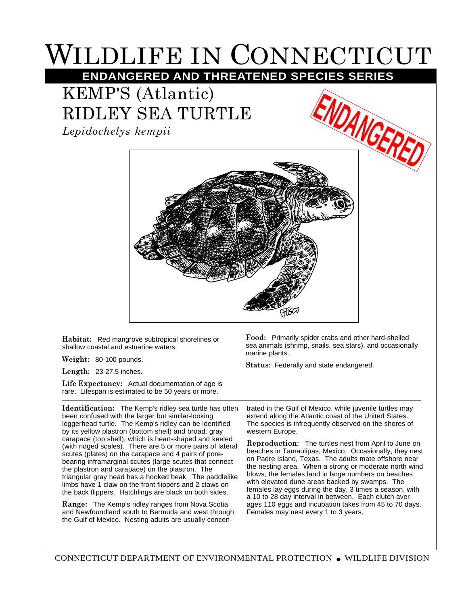## WILDLIFE IN CONNECTICUT

**ENDANGERED AND THREATENED SPECIES SERIES**

## KEMP'S (Atlantic) RIDLEY SEA TURTLE

*Lepidochelys kempii*



**Habitat:** Red mangrove subtropical shorelines or shallow coastal and estuarine waters.

**Weight:** 80-100 pounds.

**Length:** 23-27.5 inches.

**Life Expectancy:** Actual documentation of age is rare. Lifespan is estimated to be 50 years or more.

**Identification:** The Kemp's ridley sea turtle has often been confused with the larger but similar-looking loggerhead turtle. The Kemp's ridley can be identified by its yellow plastron (bottom shell) and broad, gray carapace (top shell), which is heart-shaped and keeled (with ridged scales). There are 5 or more pairs of lateral scutes (plates) on the carapace and 4 pairs of porebearing inframarginal scutes (large scutes that connect the plastron and carapace) on the plastron. The triangular gray head has a hooked beak. The paddlelike limbs have 1 claw on the front flippers and 2 claws on the back flippers. Hatchlings are black on both sides.

**Range:** The Kemp's ridley ranges from Nova Scotia and Newfoundland south to Bermuda and west through the Gulf of Mexico. Nesting adults are usually concen**Food:** Primarily spider crabs and other hard-shelled sea animals (shrimp, snails, sea stars), and occasionally marine plants.

**Status:** Federally and state endangered.

trated in the Gulf of Mexico, while juvenile turtles may extend along the Atlantic coast of the United States. The species is infrequently observed on the shores of western Europe.

**Reproduction:** The turtles nest from April to June on beaches in Tamaulipas, Mexico. Occasionally, they nest on Padre Island, Texas. The adults mate offshore near the nesting area. When a strong or moderate north wind blows, the females land in large numbers on beaches with elevated dune areas backed by swamps. The females lay eggs during the day, 3 times a season, with a 10 to 28 day interval in between. Each clutch averages 110 eggs and incubation takes from 45 to 70 days. Females may nest every 1 to 3 years.